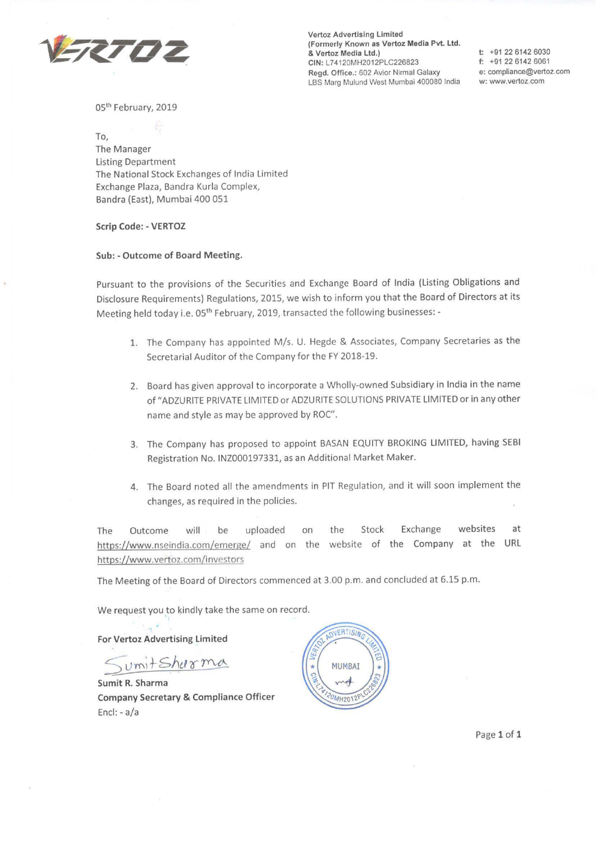

**Vertoz** Advertising Limited (Formerly **Known as Vertoz Media Pvt. Ltd.**  & Vertoz **Media** Ltd.) **CIN:** L74120MH2012PLC226823 Regd. Office.: 602 Avior Nirmal Galaxy LBS Marg Mulund West Mumbai 400080 India

**t:** +91 22 6142 6030 **f:** +91 22 6142 6061 **e:** compliance@vertoz.com w: www.vertoz.com

05<sup>th</sup> February, 2019

To, The Manager Listing Department The National Stock Exchanges of India Limited Exchange Plaza, Sandra Kurla Complex, Bandra (East), Mumbai 400 051

## **Scrip Code:** - **VERTOZ**

**Sub:** - **Outcome of Board Meeting.** 

Pursuant to the provisions of the Securities and Exchange Board of India (Listing Obligations and Disclosure Requirements) Regulations, 2015, we wish to inform you that the Board of Directors at its Meeting held today i.e. 05<sup>th</sup> February, 2019, transacted the following businesses: -

- 1. The Company has appointed M/s. U. Hegde & Associates, Company Secretaries as the Secretarial Auditor of the Company for the FY 2018-19.
- 2. Board has given approval to incorporate a Wholly-owned Subsidiary in India in the name of "ADZURITE PRIVATE LIMITED or ADZURITE SOLUTIONS PRIVATE LIMITED or in any other name and style as may be approved by ROC".
- 3. The Company has proposed to appoint BASAN EQUITY BROKING LIMITED, having SEBI Registration No. INZ000197331, as an Additional Market Maker.
- 4. The Board noted all the amendments in PIT Regulation, and it will soon implement the changes, as required in the policies.

The Outcome will be uploaded on the Stock Exchange websites at https://www.nseindia.com/emerge/ and on the website of the Company at the URL https://www.vertoz.com/investors

The Meeting of the Board of Directors commenced at 3.00 p.m. and concluded at 6.15 p.m.

We request you to kindly take the same on record.

**For Vertoz Advertising Limited** 

**Sumit R. Sharma Company Secretary** & **Compliance Officer**  Encl: - a/a